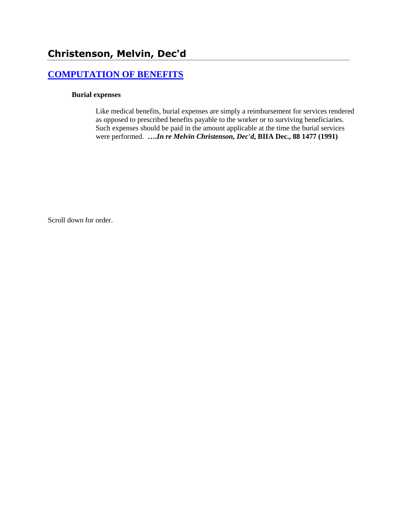# **[COMPUTATION OF BENEFITS](http://www.biia.wa.gov/SDSubjectIndex.html#COMPUTATION_OF_BENEFITS)**

### **Burial expenses**

Like medical benefits, burial expenses are simply a reimbursement for services rendered as opposed to prescribed benefits payable to the worker or to surviving beneficiaries. Such expenses should be paid in the amount applicable at the time the burial services were performed. **….***In re Melvin Christenson, Dec'd***, BIIA Dec., 88 1477 (1991)** 

Scroll down for order.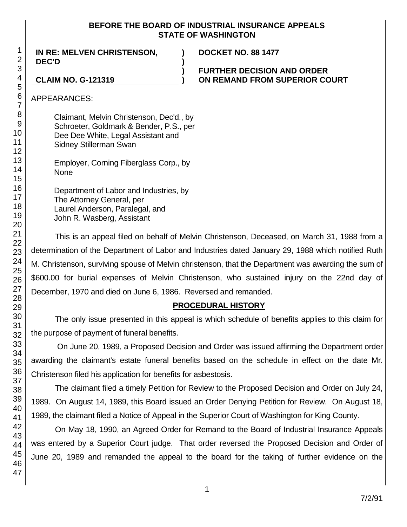## **BEFORE THE BOARD OF INDUSTRIAL INSURANCE APPEALS STATE OF WASHINGTON**

**) )**

**IN RE: MELVEN CHRISTENSON, DEC'D**

**DOCKET NO. 88 1477**

**) FURTHER DECISION AND ORDER CLAIM NO. G-121319 ) ON REMAND FROM SUPERIOR COURT**

APPEARANCES:

Claimant, Melvin Christenson, Dec'd., by Schroeter, Goldmark & Bender, P.S., per Dee Dee White, Legal Assistant and Sidney Stillerman Swan

Employer, Corning Fiberglass Corp., by None

Department of Labor and Industries, by The Attorney General, per Laurel Anderson, Paralegal, and John R. Wasberg, Assistant

This is an appeal filed on behalf of Melvin Christenson, Deceased, on March 31, 1988 from a determination of the Department of Labor and Industries dated January 29, 1988 which notified Ruth M. Christenson, surviving spouse of Melvin christenson, that the Department was awarding the sum of \$600.00 for burial expenses of Melvin Christenson, who sustained injury on the 22nd day of December, 1970 and died on June 6, 1986. Reversed and remanded.

# **PROCEDURAL HISTORY**

The only issue presented in this appeal is which schedule of benefits applies to this claim for the purpose of payment of funeral benefits.

On June 20, 1989, a Proposed Decision and Order was issued affirming the Department order awarding the claimant's estate funeral benefits based on the schedule in effect on the date Mr. Christenson filed his application for benefits for asbestosis.

The claimant filed a timely Petition for Review to the Proposed Decision and Order on July 24, 1989. On August 14, 1989, this Board issued an Order Denying Petition for Review. On August 18, 1989, the claimant filed a Notice of Appeal in the Superior Court of Washington for King County.

On May 18, 1990, an Agreed Order for Remand to the Board of Industrial Insurance Appeals was entered by a Superior Court judge. That order reversed the Proposed Decision and Order of June 20, 1989 and remanded the appeal to the board for the taking of further evidence on the

1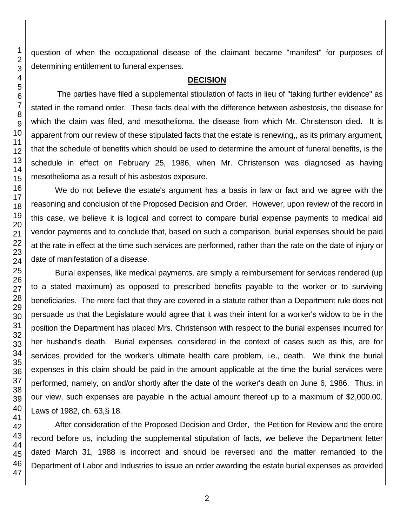question of when the occupational disease of the claimant became "manifest" for purposes of determining entitlement to funeral expenses.

#### **DECISION**

The parties have filed a supplemental stipulation of facts in lieu of "taking further evidence" as stated in the remand order. These facts deal with the difference between asbestosis, the disease for which the claim was filed, and mesothelioma, the disease from which Mr. Christenson died. It is apparent from our review of these stipulated facts that the estate is renewing,, as its primary argument, that the schedule of benefits which should be used to determine the amount of funeral benefits, is the schedule in effect on February 25, 1986, when Mr. Christenson was diagnosed as having mesothelioma as a result of his asbestos exposure.

We do not believe the estate's argument has a basis in law or fact and we agree with the reasoning and conclusion of the Proposed Decision and Order. However, upon review of the record in this case, we believe it is logical and correct to compare burial expense payments to medical aid vendor payments and to conclude that, based on such a comparison, burial expenses should be paid at the rate in effect at the time such services are performed, rather than the rate on the date of injury or date of manifestation of a disease.

Burial expenses, like medical payments, are simply a reimbursement for services rendered (up to a stated maximum) as opposed to prescribed benefits payable to the worker or to surviving beneficiaries. The mere fact that they are covered in a statute rather than a Department rule does not persuade us that the Legislature would agree that it was their intent for a worker's widow to be in the position the Department has placed Mrs. Christenson with respect to the burial expenses incurred for her husband's death. Burial expenses, considered in the context of cases such as this, are for services provided for the worker's ultimate health care problem, i.e., death. We think the burial expenses in this claim should be paid in the amount applicable at the time the burial services were performed, namely, on and/or shortly after the date of the worker's death on June 6, 1986. Thus, in our view, such expenses are payable in the actual amount thereof up to a maximum of \$2,000.00. Laws of 1982, ch. 63,§ 18.

After consideration of the Proposed Decision and Order, the Petition for Review and the entire record before us, including the supplemental stipulation of facts, we believe the Department letter dated March 31, 1988 is incorrect and should be reversed and the matter remanded to the Department of Labor and Industries to issue an order awarding the estate burial expenses as provided